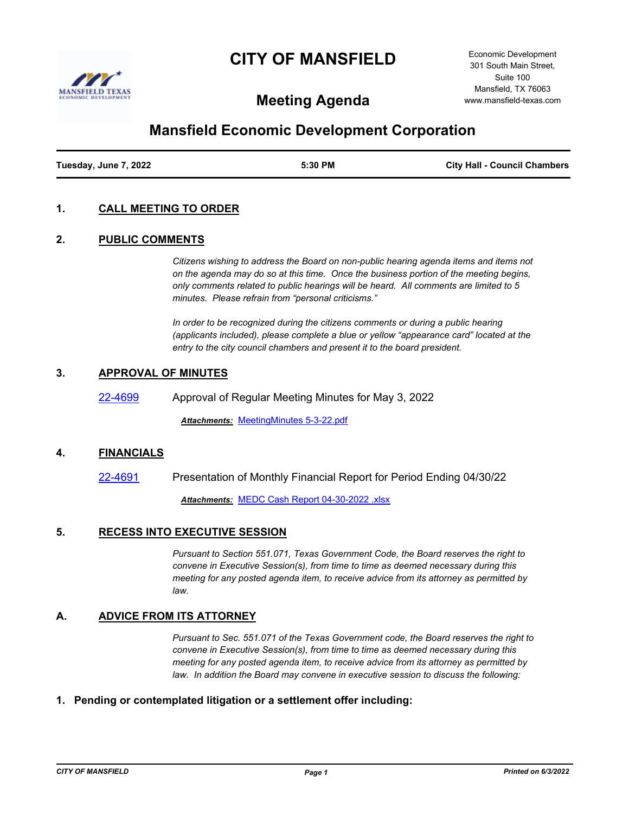# **CITY OF MANSFIELD**



Economic Development 301 South Main Street, Suite 100 Mansfield, TX 76063 www.mansfield-texas.com

# **Meeting Agenda**

# **Mansfield Economic Development Corporation**

| Tuesday, June 7, 2022 | 5:30 PM | <b>City Hall - Council Chambers</b> |
|-----------------------|---------|-------------------------------------|
|                       |         |                                     |

# **1. CALL MEETING TO ORDER**

#### **2. PUBLIC COMMENTS**

*Citizens wishing to address the Board on non-public hearing agenda items and items not on the agenda may do so at this time. Once the business portion of the meeting begins, only comments related to public hearings will be heard. All comments are limited to 5 minutes. Please refrain from "personal criticisms."*

*In order to be recognized during the citizens comments or during a public hearing (applicants included), please complete a blue or yellow "appearance card" located at the entry to the city council chambers and present it to the board president.*

# **3. APPROVAL OF MINUTES**

[22-4699](http://mansfield.legistar.com/gateway.aspx?m=l&id=/matter.aspx?key=8813) Approval of Regular Meeting Minutes for May 3, 2022

*Attachments:* [MeetingMinutes 5-3-22.pdf](http://Mansfield.legistar.com/gateway.aspx?M=F&ID=39c60b3f-93e6-41af-a5b1-48634f804bda.pdf)

#### **4. FINANCIALS**

[22-4691](http://mansfield.legistar.com/gateway.aspx?m=l&id=/matter.aspx?key=8805) Presentation of Monthly Financial Report for Period Ending 04/30/22 *Attachments:* [MEDC Cash Report 04-30-2022 .xlsx](http://Mansfield.legistar.com/gateway.aspx?M=F&ID=d1df064a-6233-4a07-b0e2-744884766956.xlsx)

# **5. RECESS INTO EXECUTIVE SESSION**

*Pursuant to Section 551.071, Texas Government Code, the Board reserves the right to convene in Executive Session(s), from time to time as deemed necessary during this meeting for any posted agenda item, to receive advice from its attorney as permitted by law.*

#### **A. ADVICE FROM ITS ATTORNEY**

*Pursuant to Sec. 551.071 of the Texas Government code, the Board reserves the right to convene in Executive Session(s), from time to time as deemed necessary during this meeting for any posted agenda item, to receive advice from its attorney as permitted by law. In addition the Board may convene in executive session to discuss the following:*

#### **1. Pending or contemplated litigation or a settlement offer including:**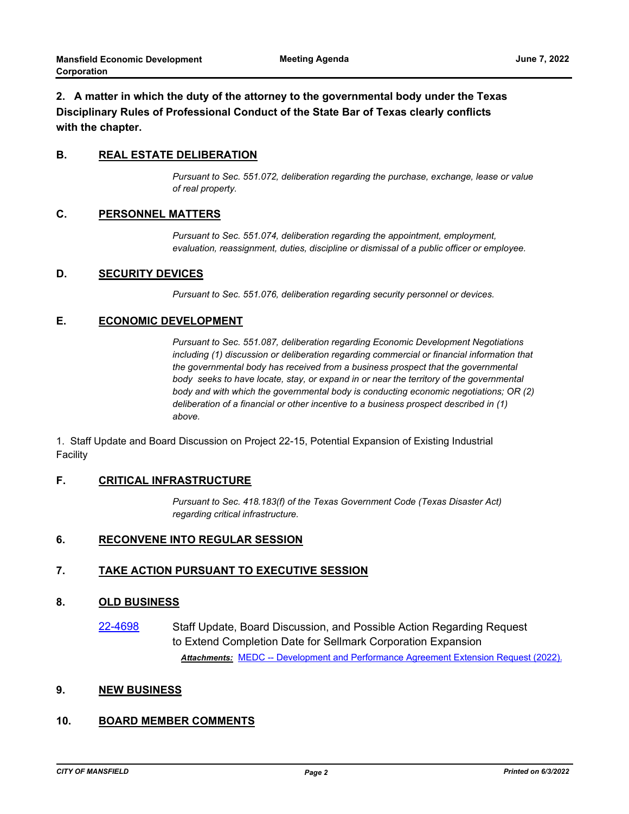# **2. A matter in which the duty of the attorney to the governmental body under the Texas Disciplinary Rules of Professional Conduct of the State Bar of Texas clearly conflicts with the chapter.**

# **B. REAL ESTATE DELIBERATION**

*Pursuant to Sec. 551.072, deliberation regarding the purchase, exchange, lease or value of real property.*

#### **C. PERSONNEL MATTERS**

*Pursuant to Sec. 551.074, deliberation regarding the appointment, employment, evaluation, reassignment, duties, discipline or dismissal of a public officer or employee.*

#### **D. SECURITY DEVICES**

*Pursuant to Sec. 551.076, deliberation regarding security personnel or devices.*

#### **E. ECONOMIC DEVELOPMENT**

*Pursuant to Sec. 551.087, deliberation regarding Economic Development Negotiations including (1) discussion or deliberation regarding commercial or financial information that the governmental body has received from a business prospect that the governmental body seeks to have locate, stay, or expand in or near the territory of the governmental body and with which the governmental body is conducting economic negotiations; OR (2) deliberation of a financial or other incentive to a business prospect described in (1) above.*

1. Staff Update and Board Discussion on Project 22-15, Potential Expansion of Existing Industrial Facility

#### **F. CRITICAL INFRASTRUCTURE**

*Pursuant to Sec. 418.183(f) of the Texas Government Code (Texas Disaster Act) regarding critical infrastructure.*

#### **6. RECONVENE INTO REGULAR SESSION**

# **7. TAKE ACTION PURSUANT TO EXECUTIVE SESSION**

#### **8. OLD BUSINESS**

[22-4698](http://mansfield.legistar.com/gateway.aspx?m=l&id=/matter.aspx?key=8812) Staff Update, Board Discussion, and Possible Action Regarding Request to Extend Completion Date for Sellmark Corporation Expansion Attachments: [MEDC -- Development and Performance Agreement Extension Request \(2022\).](http://Mansfield.legistar.com/gateway.aspx?M=F&ID=bb445b04-527a-4c3d-ac50-ffe38c087c64.pdf)

# **9. NEW BUSINESS**

# **10. BOARD MEMBER COMMENTS**